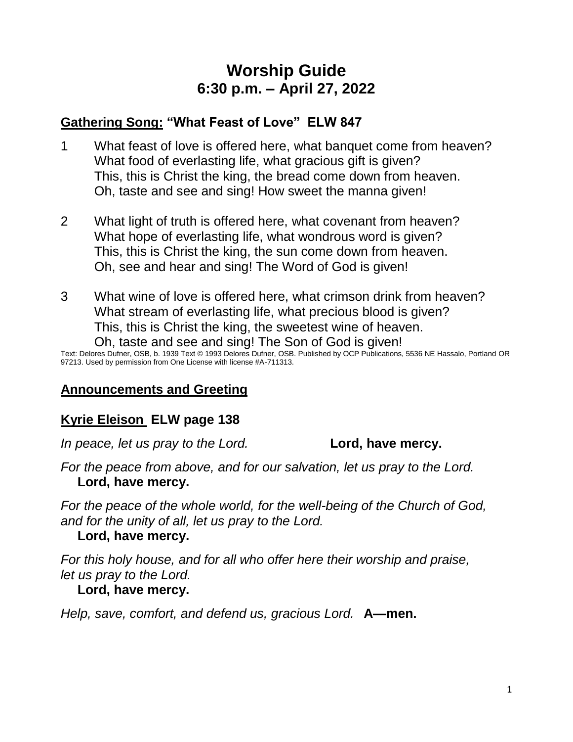# **Worship Guide 6:30 p.m. – April 27, 2022**

# **Gathering Song: "What Feast of Love" ELW 847**

- 1 What feast of love is offered here, what banquet come from heaven? What food of everlasting life, what gracious gift is given? This, this is Christ the king, the bread come down from heaven. Oh, taste and see and sing! How sweet the manna given!
- 2 What light of truth is offered here, what covenant from heaven? What hope of everlasting life, what wondrous word is given? This, this is Christ the king, the sun come down from heaven. Oh, see and hear and sing! The Word of God is given!
- 3 What wine of love is offered here, what crimson drink from heaven? What stream of everlasting life, what precious blood is given? This, this is Christ the king, the sweetest wine of heaven. Oh, taste and see and sing! The Son of God is given!

Text: Delores Dufner, OSB, b. 1939 Text © 1993 Delores Dufner, OSB. Published by OCP Publications, 5536 NE Hassalo, Portland OR 97213. Used by permission from One License with license #A-711313.

### **Announcements and Greeting**

### **Kyrie Eleison ELW page 138**

*In peace, let us pray to the Lord.* **Lord, have mercy.** 

*For the peace from above, and for our salvation, let us pray to the Lord.* **Lord, have mercy.**

*For the peace of the whole world, for the well-being of the Church of God, and for the unity of all, let us pray to the Lord.*

### **Lord, have mercy.**

*For this holy house, and for all who offer here their worship and praise, let us pray to the Lord.*

### **Lord, have mercy.**

*Help, save, comfort, and defend us, gracious Lord.* **A—men.**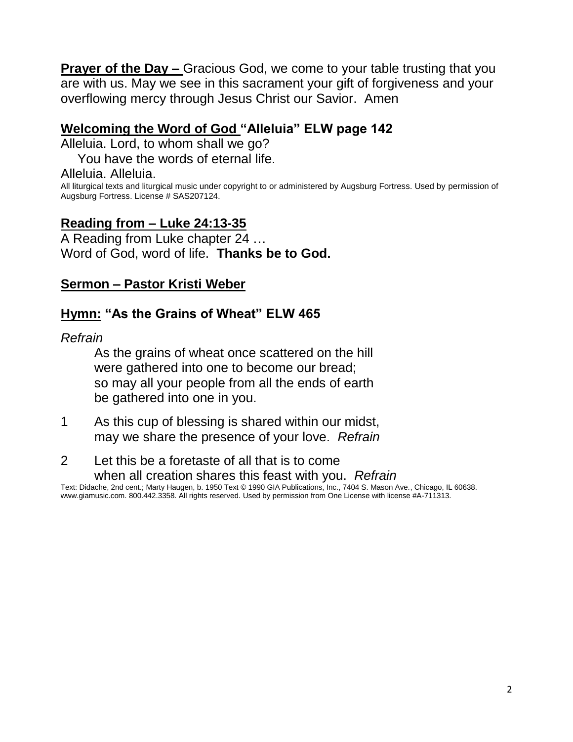**Prayer of the Day –** Gracious God, we come to your table trusting that you are with us. May we see in this sacrament your gift of forgiveness and your overflowing mercy through Jesus Christ our Savior. Amen

### **Welcoming the Word of God "Alleluia" ELW page 142**

Alleluia. Lord, to whom shall we go?

You have the words of eternal life.

#### Alleluia. Alleluia.

All liturgical texts and liturgical music under copyright to or administered by Augsburg Fortress. Used by permission of Augsburg Fortress. License # SAS207124.

### **Reading from – Luke 24:13-35**

A Reading from Luke chapter 24 … Word of God, word of life. **Thanks be to God.**

### **Sermon – Pastor Kristi Weber**

### **Hymn: "As the Grains of Wheat" ELW 465**

#### *Refrain*

As the grains of wheat once scattered on the hill were gathered into one to become our bread; so may all your people from all the ends of earth be gathered into one in you.

- 1 As this cup of blessing is shared within our midst, may we share the presence of your love. *Refrain*
- 2 Let this be a foretaste of all that is to come when all creation shares this feast with you. *Refrain*

Text: Didache, 2nd cent.; Marty Haugen, b. 1950 Text © 1990 GIA Publications, Inc., 7404 S. Mason Ave., Chicago, IL 60638. www.giamusic.com. 800.442.3358. All rights reserved. Used by permission from One License with license #A-711313.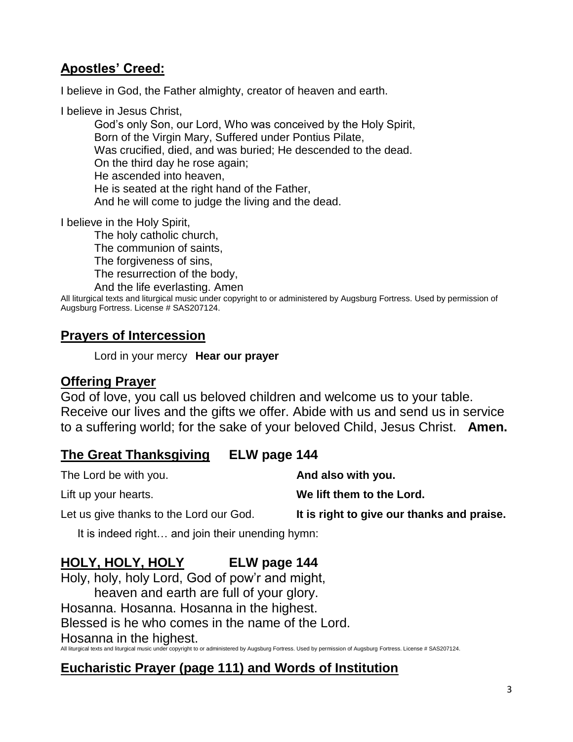## **Apostles' Creed:**

I believe in God, the Father almighty, creator of heaven and earth.

I believe in Jesus Christ,

God's only Son, our Lord, Who was conceived by the Holy Spirit, Born of the Virgin Mary, Suffered under Pontius Pilate, Was crucified, died, and was buried; He descended to the dead. On the third day he rose again; He ascended into heaven, He is seated at the right hand of the Father, And he will come to judge the living and the dead.

I believe in the Holy Spirit,

The holy catholic church, The communion of saints, The forgiveness of sins, The resurrection of the body, And the life everlasting. Amen

All liturgical texts and liturgical music under copyright to or administered by Augsburg Fortress. Used by permission of Augsburg Fortress. License # SAS207124.

### **Prayers of Intercession**

Lord in your mercy **Hear our prayer**

### **Offering Prayer**

God of love, you call us beloved children and welcome us to your table. Receive our lives and the gifts we offer. Abide with us and send us in service to a suffering world; for the sake of your beloved Child, Jesus Christ. **Amen.**

### **The Great Thanksgiving ELW page 144**

The Lord be with you. **And also with you.** Lift up your hearts. **We lift them to the Lord.** Let us give thanks to the Lord our God. **It is right to give our thanks and praise.**

It is indeed right… and join their unending hymn:

# **HOLY, HOLY, HOLY ELW page 144**

Holy, holy, holy Lord, God of pow'r and might, heaven and earth are full of your glory. Hosanna. Hosanna. Hosanna in the highest. Blessed is he who comes in the name of the Lord. Hosanna in the highest. All liturgical texts and liturgical music under copyright to or administered by Augsburg Fortress. Used by permission of Augsburg Fortress. License # SAS207124.

### **Eucharistic Prayer (page 111) and Words of Institution**